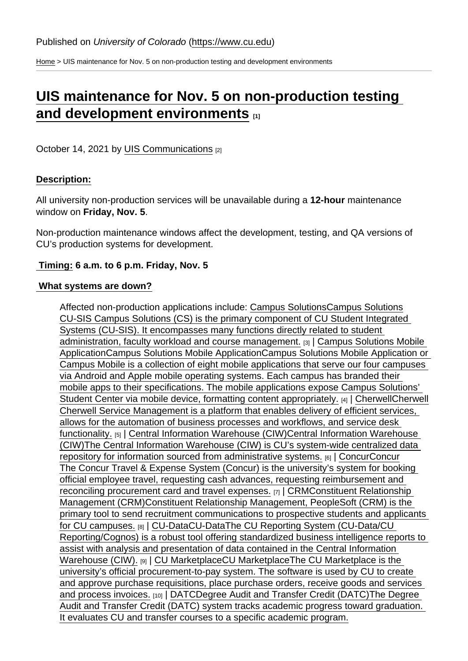[Home](https://www.cu.edu/) > UIS maintenance for Nov. 5 on non-production testing and development environments

## [UIS maintenance for Nov. 5 on non-production testing](https://www.cu.edu/blog/maintenance-matters/uis-maintenance-nov-5-non-production-testing-and-development-environments)  [and development environments](https://www.cu.edu/blog/maintenance-matters/uis-maintenance-nov-5-non-production-testing-and-development-environments)  $_{11}$

October 14, 2021 by [UIS Communications](https://www.cu.edu/blog/maintenance-matters/author/28671) [2]

## Description:

All university non-production services will be unavailable during a 12-hour maintenance window on Friday, Nov. 5 .

Non-production maintenance windows affect the development, testing, and QA versions of CU's production systems for development.

Timing: 6 a.m. to 6 p.m. Friday, Nov. 5

## What systems are down?

Affected non-production applications include: [Campus SolutionsC](https://www.cu.edu/uis-glossary/campus-solutions)ampus Solutions CU-SIS Campus Solutions (CS) is the primary component of CU Student Integrated Systems (CU-SIS). It encompasses many functions directly related to student administration, faculty workload and course management. [3] | [Campus Solutions Mobile](https://www.cu.edu/uis-glossary/campus-solutions-mobile-application)  [ApplicationC](https://www.cu.edu/uis-glossary/campus-solutions-mobile-application)ampus Solutions Mobile ApplicationCampus Solutions Mobile Application or Campus Mobile is a collection of eight mobile applications that serve our four campuses via Android and Apple mobile operating systems. Each campus has branded their mobile apps to their specifications. The mobile applications expose Campus Solutions' Student Center via mobile device, formatting content appropriately. [4] [CherwellC](https://www.cu.edu/uis-glossary/cherwell)herwell Cherwell Service Management is a platform that enables delivery of efficient services, allows for the automation of business processes and workflows, and service desk functionality. [5] | [Central Information Warehouse \(CIW\)](https://www.cu.edu/uis-glossary/central-information-warehouse-ciw)Central Information Warehouse (CIW)The Central Information Warehouse (CIW) is CU's system-wide centralized data repository for information sourced from administrative systems. [6] | [ConcurC](https://www.cu.edu/uis-glossary/concur)oncur The Concur Travel & Expense System (Concur) is the university's system for booking official employee travel, requesting cash advances, requesting reimbursement and reconciling procurement card and travel expenses. [7] | [CRM](https://www.cu.edu/uis-glossary/constituent-relationship-management-crm)Constituent Relationship Management (CRM)Constituent Relationship Management, PeopleSoft (CRM) is the primary tool to send recruitment communications to prospective students and applicants for CU campuses. [8] | [CU-DataC](https://www.cu.edu/uis-glossary/cu-data)U-DataThe CU Reporting System (CU-Data/CU Reporting/Cognos) is a robust tool offering standardized business intelligence reports to assist with analysis and presentation of data contained in the Central Information Warehouse (CIW). [9] | [CU MarketplaceC](https://www.cu.edu/uis-glossary/cu-marketplace)U MarketplaceThe CU Marketplace is the university's official procurement-to-pay system. The software is used by CU to create and approve purchase requisitions, place purchase orders, receive goods and services and process invoices. [10] | [DATC](https://www.cu.edu/uis-glossary/degree-audit-and-transfer-credit-datc)Degree Audit and Transfer Credit (DATC)The Degree Audit and Transfer Credit (DATC) system tracks academic progress toward graduation. It evaluates CU and transfer courses to a specific academic program.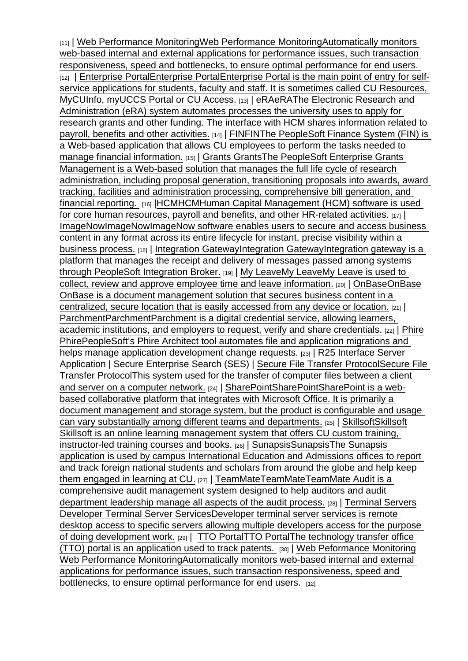[11] | [Web Performance MonitoringW](https://www.cu.edu/uis-glossary/web-performance-monitoring)eb Performance MonitoringAutomatically monitors web-based internal and external applications for performance issues, such transaction responsiveness, speed and bottlenecks, to ensure optimal performance for end users. [12] | [Enterprise PortalE](https://www.cu.edu/uis-glossary/enterprise-portal)nterprise PortalEnterprise Portal is the main point of entry for selfservice applications for students, faculty and staff. It is sometimes called CU Resources, MyCUInfo, myUCCS Portal or CU Access. [13] [eRA](https://www.cu.edu/uis-glossary/era)eRAThe Electronic Research and Administration (eRA) system automates processes the university uses to apply for research grants and other funding. The interface with HCM shares information related to payroll, benefits and other activities. [14] | [FIN](https://www.cu.edu/uis-glossary/fin)FINThe PeopleSoft Finance System (FIN) is a Web-based application that allows CU employees to perform the tasks needed to manage financial information. [15] | [Grants](https://www.cu.edu/uis-glossary/grants) GrantsThe PeopleSoft Enterprise Grants Management is a Web-based solution that manages the full life cycle of research administration, including proposal generation, transitioning proposals into awards, award tracking, facilities and administration processing, comprehensive bill generation, and financial reporting. [16] [|HCMH](https://www.cu.edu/uis-glossary/hcm)CMHuman Capital Management (HCM) software is used for core human resources, payroll and benefits, and other HR-related activities.  $[17]$ [ImageNow](https://www.cu.edu/uis-glossary/imagenow)ImageNowImageNow software enables users to secure and access business content in any format across its entire lifecycle for instant, precise visibility within a business process. [18] | [Integration GatewayI](https://www.cu.edu/uis-glossary/integration-gateway)ntegration GatewayIntegration gateway is a platform that manages the receipt and delivery of messages passed among systems through PeopleSoft Integration Broker. [19] | [My LeaveM](https://www.cu.edu/uis-glossary/my-leave)y LeaveMy Leave is used to collect, review and approve employee time and leave information. [20] | [OnBaseO](https://www.cu.edu/uis-glossary/onbase)nBase OnBase is a document management solution that secures business content in a centralized, secure location that is easily accessed from any device or location. [21] | [Parchment](https://www.cu.edu/uis-glossary/parchment)ParchmentParchment is a digital credential service, allowing learners, academic institutions, and employers to request, verify and share credentials. [22] | [Phire](https://www.cu.edu/uis-glossary/phire) PhirePeopleSoft's Phire Architect tool automates file and application migrations and helps manage application development change requests. [23] | R25 Interface Server Application | Secure Enterprise Search (SES) | [Secure File Transfer Protocol](https://www.cu.edu/uis-glossary/secure-file-transfer-protocol)Secure File Transfer ProtocolThis system used for the transfer of computer files between a client and server on a computer network. [24] [SharePointS](https://www.cu.edu/uis-glossary/sharepoint)harePointSharePoint is a webbased collaborative platform that integrates with Microsoft Office. It is primarily a document management and storage system, but the product is configurable and usage can vary substantially among different teams and departments. [25] | [SkillsoftS](https://www.cu.edu/uis-glossary/skillsoft)killsoft Skillsoft is an online learning management system that offers CU custom training, instructor-led training courses and books. [26] | [SunapsisS](https://www.cu.edu/uis-glossary/sunapsis)unapsisThe Sunapsis application is used by campus International Education and Admissions offices to report and track foreign national students and scholars from around the globe and help keep them engaged in learning at CU. [27] | [TeamMate](https://www.cu.edu/uis-glossary/teammate)TeamMateTeamMate Audit is a comprehensive audit management system designed to help auditors and audit department leadership manage all aspects of the audit process. [28] | [Terminal Servers](https://www.cu.edu/uis-glossary/developer-terminal-server-services) Developer Terminal Server ServicesDeveloper terminal server services is remote desktop access to specific servers allowing multiple developers access for the purpose of doing development work. [29] | [TTO PortalT](https://www.cu.edu/uis-glossary/tto-portal)TO PortalThe technology transfer office (TTO) portal is an application used to track patents. [30] | [Web Peformance Monitoring](https://www.cu.edu/uis-glossary/web-performance-monitoring) Web Performance MonitoringAutomatically monitors web-based internal and external applications for performance issues, such transaction responsiveness, speed and bottlenecks, to ensure optimal performance for end users. [12]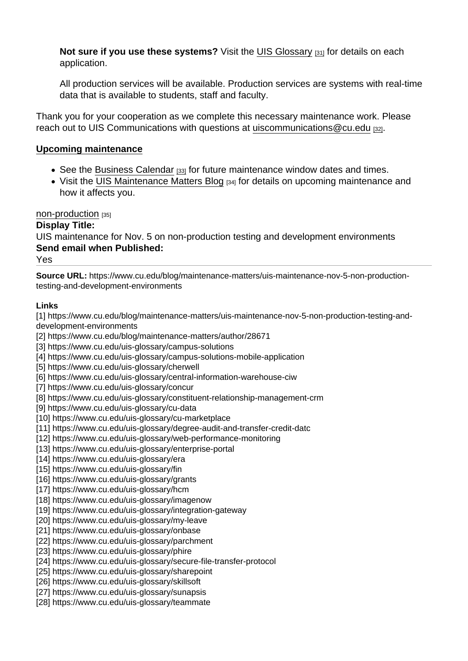Not sure if you use these systems? Visit the [UIS Glossary](https://www.cu.edu/uis/maintenance-matters-blog/glossary) [31] for details on each application.

All production services will be available. Production services are systems with real-time data that is available to students, staff and faculty.

Thank you for your cooperation as we complete this necessary maintenance work. Please reach out to UIS Communications with questions at uiscommunications  $@cu.edu$  [32].

## Upcoming maintenance

- See the [Business Calendar](https://sp.cu.edu/UIS/Lists/Business Calendar/calendar.aspx) [33] for future maintenance window dates and times.
- Visit the [UIS Maintenance Matters Blog](https://www.cu.edu/blog/uis-service-alerts) [34] for details on upcoming maintenance and how it affects you.

[non-production](https://www.cu.edu/blog/maintenance-matters/tag/non-production) [35]

Display Title:

UIS maintenance for Nov. 5 on non-production testing and development environments Send email when Published:

Yes

Source URL: https://www.cu.edu/blog/maintenance-matters/uis-maintenance-nov-5-non-productiontesting-and-development-environments

Links

[1] https://www.cu.edu/blog/maintenance-matters/uis-maintenance-nov-5-non-production-testing-anddevelopment-environments

[2] https://www.cu.edu/blog/maintenance-matters/author/28671

[3] https://www.cu.edu/uis-glossary/campus-solutions

[4] https://www.cu.edu/uis-glossary/campus-solutions-mobile-application

[5] https://www.cu.edu/uis-glossary/cherwell

[6] https://www.cu.edu/uis-glossary/central-information-warehouse-ciw

[7] https://www.cu.edu/uis-glossary/concur

[8] https://www.cu.edu/uis-glossary/constituent-relationship-management-crm

[9] https://www.cu.edu/uis-glossary/cu-data

[10] https://www.cu.edu/uis-glossary/cu-marketplace

[11] https://www.cu.edu/uis-glossary/degree-audit-and-transfer-credit-datc

[12] https://www.cu.edu/uis-glossary/web-performance-monitoring

[13] https://www.cu.edu/uis-glossary/enterprise-portal

[14] https://www.cu.edu/uis-glossary/era

[15] https://www.cu.edu/uis-glossary/fin

[16] https://www.cu.edu/uis-glossary/grants

[17] https://www.cu.edu/uis-glossary/hcm

[18] https://www.cu.edu/uis-glossary/imagenow

[19] https://www.cu.edu/uis-glossary/integration-gateway

[20] https://www.cu.edu/uis-glossary/my-leave

[21] https://www.cu.edu/uis-glossary/onbase

[22] https://www.cu.edu/uis-glossary/parchment

[23] https://www.cu.edu/uis-glossary/phire

[24] https://www.cu.edu/uis-glossary/secure-file-transfer-protocol

[25] https://www.cu.edu/uis-glossary/sharepoint

[26] https://www.cu.edu/uis-glossary/skillsoft

[27] https://www.cu.edu/uis-glossary/sunapsis

[28] https://www.cu.edu/uis-glossary/teammate